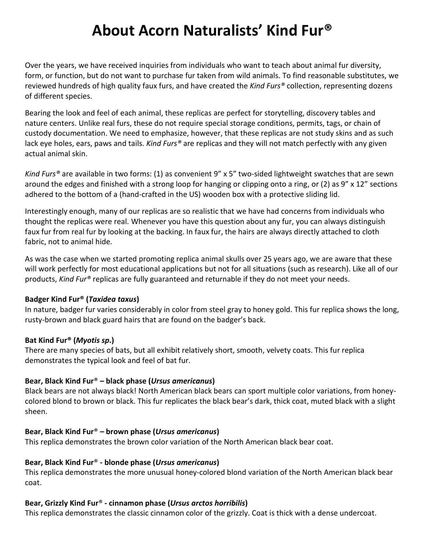# **About Acorn Naturalists' Kind Fur®**

Over the years, we have received inquiries from individuals who want to teach about animal fur diversity, form, or function, but do not want to purchase fur taken from wild animals. To find reasonable substitutes, we reviewed hundreds of high quality faux furs, and have created the *Kind Furs®* collection, representing dozens of different species.

Bearing the look and feel of each animal, these replicas are perfect for storytelling, discovery tables and nature centers. Unlike real furs, these do not require special storage conditions, permits, tags, or chain of custody documentation. We need to emphasize, however, that these replicas are not study skins and as such lack eye holes, ears, paws and tails. *Kind Furs®* are replicas and they will not match perfectly with any given actual animal skin.

*Kind Furs®* are available in two forms: (1) as convenient 9" x 5" two-sided lightweight swatches that are sewn around the edges and finished with a strong loop for hanging or clipping onto a ring, or (2) as 9" x 12" sections adhered to the bottom of a (hand-crafted in the US) wooden box with a protective sliding lid.

Interestingly enough, many of our replicas are so realistic that we have had concerns from individuals who thought the replicas were real. Whenever you have this question about any fur, you can always distinguish faux fur from real fur by looking at the backing. In faux fur, the hairs are always directly attached to cloth fabric, not to animal hide.

As was the case when we started promoting replica animal skulls over 25 years ago, we are aware that these will work perfectly for most educational applications but not for all situations (such as research). Like all of our products, *Kind Fur®* replicas are fully guaranteed and returnable if they do not meet your needs.

## **Badger Kind Fur® (***Taxidea taxus***)**

In nature, badger fur varies considerably in color from steel gray to honey gold. This fur replica shows the long, rusty-brown and black guard hairs that are found on the badger's back.

## **Bat Kind Fur® (***Myotis sp***.)**

There are many species of bats, but all exhibit relatively short, smooth, velvety coats. This fur replica demonstrates the typical look and feel of bat fur.

# **Bear, Black Kind Fur**® **– black phase (***Ursus americanus***)**

Black bears are not always black! North American black bears can sport multiple color variations, from honeycolored blond to brown or black. This fur replicates the black bear's dark, thick coat, muted black with a slight sheen.

# **Bear, Black Kind Fur**® **– brown phase (***Ursus americanus***)**

This replica demonstrates the brown color variation of the North American black bear coat.

# **Bear, Black Kind Fur**® **- blonde phase (***Ursus americanus***)**

This replica demonstrates the more unusual honey-colored blond variation of the North American black bear coat.

# **Bear, Grizzly Kind Fur**® **- cinnamon phase (***Ursus arctos horribilis***)**

This replica demonstrates the classic cinnamon color of the grizzly. Coat is thick with a dense undercoat.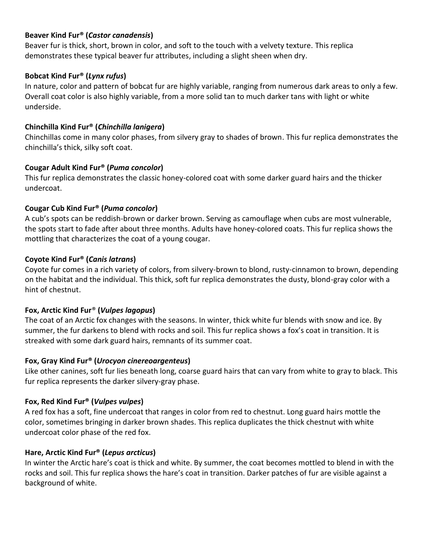#### **Beaver Kind Fur® (***Castor canadensis***)**

Beaver fur is thick, short, brown in color, and soft to the touch with a velvety texture. This replica demonstrates these typical beaver fur attributes, including a slight sheen when dry.

#### **Bobcat Kind Fur® (***Lynx rufus***)**

In nature, color and pattern of bobcat fur are highly variable, ranging from numerous dark areas to only a few. Overall coat color is also highly variable, from a more solid tan to much darker tans with light or white underside.

#### **Chinchilla Kind Fur® (***Chinchilla lanigera***)**

Chinchillas come in many color phases, from silvery gray to shades of brown. This fur replica demonstrates the chinchilla's thick, silky soft coat.

## **Cougar Adult Kind Fur® (***Puma concolor***)**

This fur replica demonstrates the classic honey-colored coat with some darker guard hairs and the thicker undercoat.

#### **Cougar Cub Kind Fur® (***Puma concolor***)**

A cub's spots can be reddish-brown or darker brown. Serving as camouflage when cubs are most vulnerable, the spots start to fade after about three months. Adults have honey-colored coats. This fur replica shows the mottling that characterizes the coat of a young cougar.

#### **Coyote Kind Fur® (***Canis latrans***)**

Coyote fur comes in a rich variety of colors, from silvery-brown to blond, rusty-cinnamon to brown, depending on the habitat and the individual. This thick, soft fur replica demonstrates the dusty, blond-gray color with a hint of chestnut.

#### **Fox, Arctic Kind Fur**® **(***Vulpes lagopus***)**

The coat of an Arctic fox changes with the seasons. In winter, thick white fur blends with snow and ice. By summer, the fur darkens to blend with rocks and soil. This fur replica shows a fox's coat in transition. It is streaked with some dark guard hairs, remnants of its summer coat.

## **Fox, Gray Kind Fur® (***Urocyon cinereoargenteus***)**

Like other canines, soft fur lies beneath long, coarse guard hairs that can vary from white to gray to black. This fur replica represents the darker silvery-gray phase.

## **Fox, Red Kind Fur® (***Vulpes vulpes***)**

A red fox has a soft, fine undercoat that ranges in color from red to chestnut. Long guard hairs mottle the color, sometimes bringing in darker brown shades. This replica duplicates the thick chestnut with white undercoat color phase of the red fox.

## **Hare, Arctic Kind Fur® (***Lepus arcticus***)**

In winter the Arctic hare's coat is thick and white. By summer, the coat becomes mottled to blend in with the rocks and soil. This fur replica shows the hare's coat in transition. Darker patches of fur are visible against a background of white.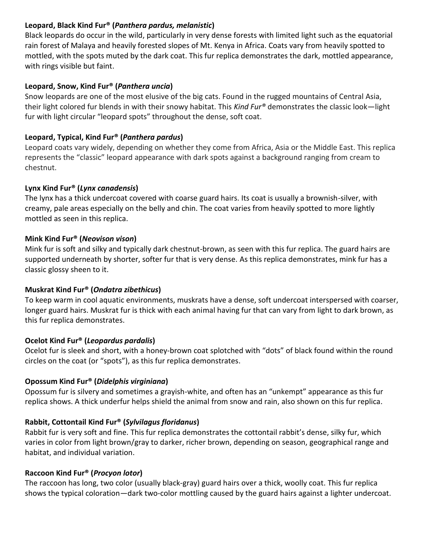## **Leopard, Black Kind Fur® (***Panthera pardus, melanistic***)**

Black leopards do occur in the wild, particularly in very dense forests with limited light such as the equatorial rain forest of Malaya and heavily forested slopes of Mt. Kenya in Africa. Coats vary from heavily spotted to mottled, with the spots muted by the dark coat. This fur replica demonstrates the dark, mottled appearance, with rings visible but faint.

## **Leopard, Snow, Kind Fur® (***Panthera uncia***)**

Snow leopards are one of the most elusive of the big cats. Found in the rugged mountains of Central Asia, their light colored fur blends in with their snowy habitat. This *Kind Fur®* demonstrates the classic look—light fur with light circular "leopard spots" throughout the dense, soft coat.

## **Leopard, Typical, Kind Fur® (***Panthera pardus***)**

Leopard coats vary widely, depending on whether they come from Africa, Asia or the Middle East. This replica represents the "classic" leopard appearance with dark spots against a background ranging from cream to chestnut.

## **Lynx Kind Fur® (***Lynx canadensis***)**

The lynx has a thick undercoat covered with coarse guard hairs. Its coat is usually a brownish-silver, with creamy, pale areas especially on the belly and chin. The coat varies from heavily spotted to more lightly mottled as seen in this replica.

## **Mink Kind Fur® (***Neovison vison***)**

Mink fur is soft and silky and typically dark chestnut-brown, as seen with this fur replica. The guard hairs are supported underneath by shorter, softer fur that is very dense. As this replica demonstrates, mink fur has a classic glossy sheen to it.

## **Muskrat Kind Fur® (***Ondatra zibethicus***)**

To keep warm in cool aquatic environments, muskrats have a dense, soft undercoat interspersed with coarser, longer guard hairs. Muskrat fur is thick with each animal having fur that can vary from light to dark brown, as this fur replica demonstrates.

# **Ocelot Kind Fur® (***Leopardus pardalis***)**

Ocelot fur is sleek and short, with a honey-brown coat splotched with "dots" of black found within the round circles on the coat (or "spots"), as this fur replica demonstrates.

# **Opossum Kind Fur® (***Didelphis virginiana***)**

Opossum fur is silvery and sometimes a grayish-white, and often has an "unkempt" appearance as this fur replica shows. A thick underfur helps shield the animal from snow and rain, also shown on this fur replica.

# **Rabbit, Cottontail Kind Fur® (***Sylvilagus floridanus***)**

Rabbit fur is very soft and fine. This fur replica demonstrates the cottontail rabbit's dense, silky fur, which varies in color from light brown/gray to darker, richer brown, depending on season, geographical range and habitat, and individual variation.

## **Raccoon Kind Fur® (***Procyon lotor***)**

The raccoon has long, two color (usually black-gray) guard hairs over a thick, woolly coat. This fur replica shows the typical coloration—dark two-color mottling caused by the guard hairs against a lighter undercoat.